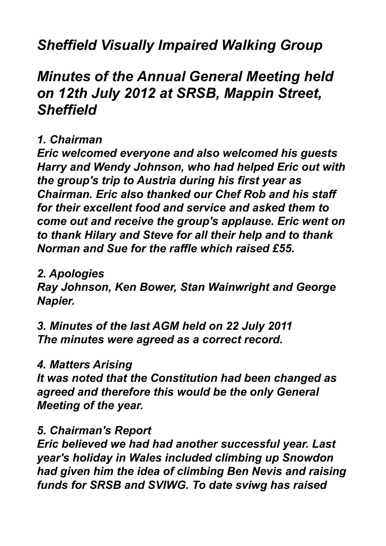# *Sheffield Visually Impaired Walking Group*

# *Minutes of the Annual General Meeting held on 12th July 2012 at SRSB, Mappin Street, Sheffield*

### *1. Chairman*

*Eric welcomed everyone and also welcomed his guests Harry and Wendy Johnson, who had helped Eric out with the group's trip to Austria during his first year as Chairman. Eric also thanked our Chef Rob and his staff for their excellent food and service and asked them to come out and receive the group's applause. Eric went on to thank Hilary and Steve for all their help and to thank Norman and Sue for the raffle which raised £55.*

### *2. Apologies*

*Ray Johnson, Ken Bower, Stan Wainwright and George Napier.*

*3. Minutes of the last AGM held on 22 July 2011 The minutes were agreed as a correct record.*

### *4. Matters Arising*

*It was noted that the Constitution had been changed as agreed and therefore this would be the only General Meeting of the year.*

### *5. Chairman's Report*

*Eric believed we had had another successful year. Last year's holiday in Wales included climbing up Snowdon had given him the idea of climbing Ben Nevis and raising funds for SRSB and SVIWG. To date sviwg has raised*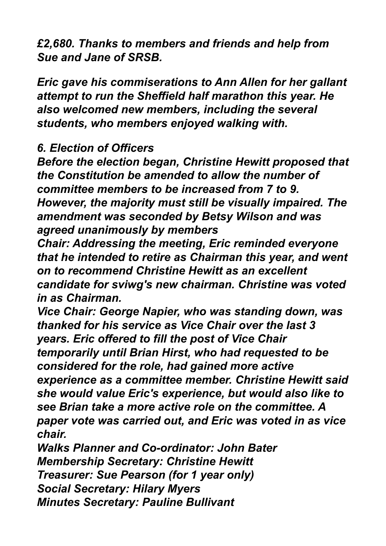*£2,680. Thanks to members and friends and help from Sue and Jane of SRSB.*

*Eric gave his commiserations to Ann Allen for her gallant attempt to run the Sheffield half marathon this year. He also welcomed new members, including the several students, who members enjoyed walking with.*

#### *6. Election of Officers*

*Before the election began, Christine Hewitt proposed that the Constitution be amended to allow the number of committee members to be increased from 7 to 9. However, the majority must still be visually impaired. The amendment was seconded by Betsy Wilson and was agreed unanimously by members*

*Chair: Addressing the meeting, Eric reminded everyone that he intended to retire as Chairman this year, and went on to recommend Christine Hewitt as an excellent candidate for sviwg's new chairman. Christine was voted in as Chairman.*

*Vice Chair: George Napier, who was standing down, was thanked for his service as Vice Chair over the last 3 years. Eric offered to fill the post of Vice Chair temporarily until Brian Hirst, who had requested to be considered for the role, had gained more active experience as a committee member. Christine Hewitt said she would value Eric's experience, but would also like to see Brian take a more active role on the committee. A paper vote was carried out, and Eric was voted in as vice chair.*

*Walks Planner and Co-ordinator: John Bater Membership Secretary: Christine Hewitt Treasurer: Sue Pearson (for 1 year only) Social Secretary: Hilary Myers Minutes Secretary: Pauline Bullivant*